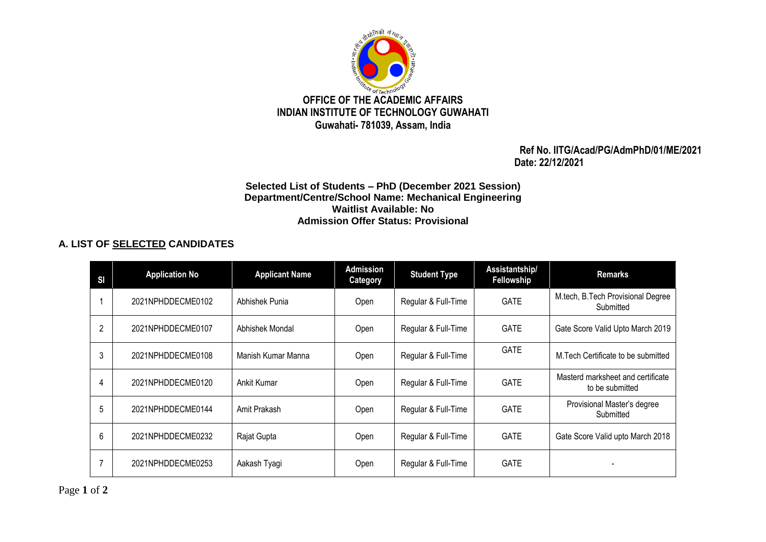

 **Ref No. IITG/Acad/PG/AdmPhD/01/ME/2021 Date: 22/12/2021**

## **Selected List of Students – PhD (December 2021 Session) Department/Centre/School Name: Mechanical Engineering Waitlist Available: No Admission Offer Status: Provisional**

## **A. LIST OF SELECTED CANDIDATES**

| SI | <b>Application No</b> | <b>Applicant Name</b> | <b>Admission</b><br>Category | <b>Student Type</b> | Assistantship/<br>Fellowship | <b>Remarks</b>                                       |
|----|-----------------------|-----------------------|------------------------------|---------------------|------------------------------|------------------------------------------------------|
|    | 2021NPHDDECME0102     | Abhishek Punia        | Open                         | Regular & Full-Time | <b>GATE</b>                  | M.tech, B.Tech Provisional Degree<br>Submitted       |
| 2  | 2021NPHDDECME0107     | Abhishek Mondal       | Open                         | Regular & Full-Time | <b>GATE</b>                  | Gate Score Valid Upto March 2019                     |
| 3  | 2021NPHDDECME0108     | Manish Kumar Manna    | Open                         | Regular & Full-Time | <b>GATE</b>                  | M. Tech Certificate to be submitted                  |
| 4  | 2021NPHDDECME0120     | Ankit Kumar           | Open                         | Regular & Full-Time | <b>GATE</b>                  | Masterd marksheet and certificate<br>to be submitted |
| 5  | 2021NPHDDECME0144     | Amit Prakash          | Open                         | Regular & Full-Time | <b>GATE</b>                  | Provisional Master's degree<br>Submitted             |
| 6  | 2021NPHDDECME0232     | Rajat Gupta           | Open                         | Regular & Full-Time | <b>GATE</b>                  | Gate Score Valid upto March 2018                     |
| 7  | 2021NPHDDECME0253     | Aakash Tyagi          | Open                         | Regular & Full-Time | <b>GATE</b>                  |                                                      |

Page **1** of **2**